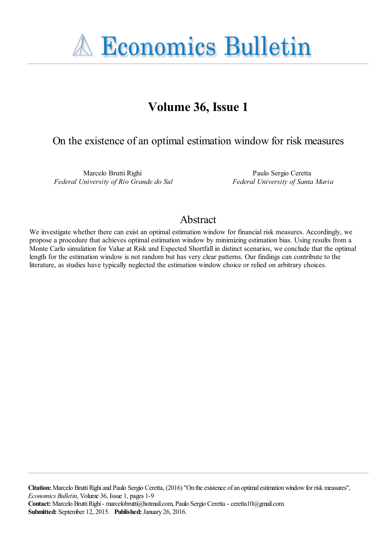**A Economics Bulletin** 

# **Volume 36, Issue 1**

# On the existence of an optimal estimation window for risk measures

Marcelo Brutti Righi *Federal University of Rio Grande do Sul*

Paulo Sergio Ceretta *Federal University of Santa Maria*

## Abstract

We investigate whether there can exist an optimal estimation window for financial risk measures. Accordingly, we propose a procedure that achieves optimal estimation window by minimizing estimation bias. Using results from a Monte Carlo simulation for Value at Risk and Expected Shortfall in distinct scenarios, we conclude that the optimal length for the estimation window is not random but has very clear patterns. Our findings can contribute to the literature, as studies have typically neglected the estimation window choice or relied on arbitrary choices.

**Citation:** Marcelo Brutti Righi and Paulo Sergio Ceretta, (2016) ''On the existence of an optimal estimation window for risk measures'', *Economics Bulletin*, Volume 36, Issue 1, pages 1-9

**Contact:** Marcelo Brutti Righi - marcelobrutti@hotmail.com, Paulo Sergio Ceretta - ceretta10@gmail.com. **Submitted:** September 12, 2015. **Published:** January 26, 2016.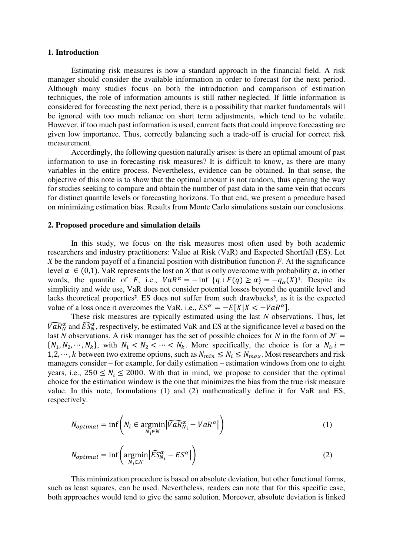### **1. Introduction**

Estimating risk measures is now a standard approach in the financial field. A risk manager should consider the available information in order to forecast for the next period. Although many studies focus on both the introduction and comparison of estimation techniques, the role of information amounts is still rather neglected. If little information is considered for forecasting the next period, there is a possibility that market fundamentals will be ignored with too much reliance on short term adjustments, which tend to be volatile. However, if too much past information is used, current facts that could improve forecasting are given low importance. Thus, correctly balancing such a trade-off is crucial for correct risk measurement.

Accordingly, the following question naturally arises: is there an optimal amount of past information to use in forecasting risk measures? It is difficult to know, as there are many variables in the entire process. Nevertheless, evidence can be obtained. In that sense, the objective of this note is to show that the optimal amount is not random, thus opening the way for studies seeking to compare and obtain the number of past data in the same vein that occurs for distinct quantile levels or forecasting horizons. To that end, we present a procedure based on minimizing estimation bias. Results from Monte Carlo simulations sustain our conclusions.

#### **2. Proposed procedure and simulation details**

In this study, we focus on the risk measures most often used by both academic researchers and industry practitioners: Value at Risk (VaR) and Expected Shortfall (ES). Let *X* be the random payoff of a financial position with distribution function *F*. At the significance level  $\alpha \in (0,1)$ , VaR represents the lost on *X* that is only overcome with probability  $\alpha$ , in other words, the quantile of *F*, i.e.,  $VaR^{\alpha} = -\inf \{q : F(q) \ge \alpha\} = -q_{\alpha}(X)^{1}$ . Despite its simplicity and wide use, VaR does not consider potential losses beyond the quantile level and lacks theoretical properties<sup>2</sup>. ES does not suffer from such drawbacks<sup>3</sup>, as it is the expected value of a loss once it overcomes the VaR, i.e.,  $ES^{\alpha} = -E[X|X < -VaR^{\alpha}]$ .

These risk measures are typically estimated using the last *N* observations. Thus, let  $\overline{VaR}_N^{\alpha}$  and  $\overline{ES}_N^{\alpha}$ , respectively, be estimated VaR and ES at the significance level  $\alpha$  based on the last *N* observations. A risk manager has the set of possible choices for *N* in the form of  $\mathcal{N} =$  $\{N_1, N_2, \dots, N_k\}$ , with  $N_1 < N_2 < \dots < N_k$ . More specifically, the choice is for a  $N_i$ ,  $i =$ 1,2,  $\cdots$ , k between two extreme options, such as  $N_{min} \le N_i \le N_{max}$ . Most researchers and risk managers consider – for example, for daily estimation – estimation windows from one to eight years, i.e.,  $250 \le N_i \le 2000$ . With that in mind, we propose to consider that the optimal choice for the estimation window is the one that minimizes the bias from the true risk measure value. In this note, formulations (1) and (2) mathematically define it for VaR and ES, respectively.

$$
N_{optimal} = \inf \left( N_i \in \operatorname*{argmin}_{N_i \in \mathcal{N}} |\widehat{VaR}_{N_i}^{\alpha} - VaR^{\alpha}| \right) \tag{1}
$$

$$
N_{optimal} = \inf \left( \underset{N_i \in \mathcal{N}}{\operatorname{argmin}} \left| \widehat{ES}_{N_i}^{\alpha} - ES^{\alpha} \right| \right) \tag{2}
$$

This minimization procedure is based on absolute deviation, but other functional forms, such as least squares, can be used. Nevertheless, readers can note that for this specific case, both approaches would tend to give the same solution. Moreover, absolute deviation is linked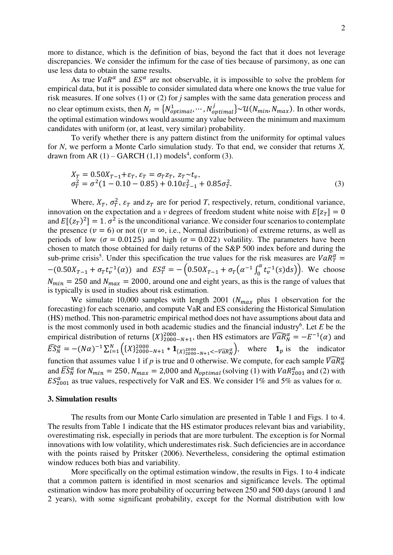more to distance, which is the definition of bias, beyond the fact that it does not leverage discrepancies. We consider the infimum for the case of ties because of parsimony, as one can use less data to obtain the same results.

As true  $VaR^{\alpha}$  and  $ES^{\alpha}$  are not observable, it is impossible to solve the problem for empirical data, but it is possible to consider simulated data where one knows the true value for risk measures. If one solves (1) or (2) for *j* samples with the same data generation process and no clear optimum exists, then  $N_j = \{N_{optimal}^1, \dots, N_{optimal}^j\} \sim \mathcal{U}(N_{min}, N_{max})$ . In other words, the optimal estimation windows would assume any value between the minimum and maximum candidates with uniform (or, at least, very similar) probability.

To verify whether there is any pattern distinct from the uniformity for optimal values for *N*, we perform a Monte Carlo simulation study. To that end, we consider that returns *X,* drawn from AR  $(1)$  – GARCH  $(1,1)$  models<sup>4</sup>, conform  $(3)$ .

$$
X_T = 0.50X_{T-1} + \varepsilon_T, \varepsilon_T = \sigma_T z_T, \ z_T \sim t_v,\n\sigma_T^2 = \sigma^2 (1 - 0.10 - 0.85) + 0.10\varepsilon_{T-1}^2 + 0.85\sigma_T^2.
$$
\n(3)

Where,  $X_T$ ,  $\sigma_T^2$ ,  $\varepsilon_T$  and  $z_T$  are for period *T*, respectively, return, conditional variance, innovation on the expectation and a *v* degrees of freedom student white noise with  $E[z_T] = 0$ and  $E[(z_T)^2] = 1$ .  $\sigma^2$  is the unconditional variance. We consider four scenarios to contemplate the presence ( $v = 6$ ) or not (( $v = \infty$ , i.e., Normal distribution) of extreme returns, as well as periods of low ( $\sigma = 0.0125$ ) and high ( $\sigma = 0.022$ ) volatility. The parameters have been chosen to match those obtained for daily returns of the S&P 500 index before and during the sub-prime crisis<sup>5</sup>. Under this specification the true values for the risk measures are  $VaR_T^{\alpha}$  =  $-(0.50X_{T-1} + \sigma_T t_v^{-1}(\alpha))$  and  $ES_T^{\alpha} = -\left(0.50X_{T-1} + \sigma_T(\alpha^{-1} \int_0^{\alpha} t_v^{-1}(s)ds)\right)$ . We choose  $N_{min} = 250$  and  $N_{max} = 2000$ , around one and eight years, as this is the range of values that is typically is used in studies about risk estimation.

We simulate 10,000 samples with length 2001 ( $N_{max}$  plus 1 observation for the forecasting) for each scenario, and compute VaR and ES considering the Historical Simulation (HS) method. This non-parametric empirical method does not have assumptions about data and is the most commonly used in both academic studies and the financial industry<sup>6</sup>. Let  $E$  be the empirical distribution of returns  $\{X\}_{2000-N+1}^{2000}$ , then HS estimators are  $\overline{VaR}_N^{\alpha} = -E^{-1}(\alpha)$  and  $\widehat{ES}_N^{\alpha} = -(N\alpha)^{-1} \sum_{i=1}^N \left( \{X\}_{2000-N+1}^{2000} * 1 + \mathbf{1}_{\{X\}_{2000-N+1}^{2000} < N+1} \right)$ , where  $\mathbf{1}_p$  is the indicator function that assumes value 1 if *p* is true and 0 otherwise. We compute, for each sample  $\overline{VaR}_N^{\alpha}$ and  $\widehat{ES}_{N}^{\alpha}$  for  $N_{min} = 250$ ,  $N_{max} = 2,000$  and  $N_{optimal}$  (solving (1) with  $VaR_{2001}^{\alpha}$  and (2) with  $ES_{2001}^{\alpha}$  as true values, respectively for VaR and ES. We consider 1% and 5% as values for  $\alpha$ .

#### **3. Simulation results**

The results from our Monte Carlo simulation are presented in Table 1 and Figs. 1 to 4. The results from Table 1 indicate that the HS estimator produces relevant bias and variability, overestimating risk, especially in periods that are more turbulent. The exception is for Normal innovations with low volatility, which underestimates risk. Such deficiencies are in accordance with the points raised by Pritsker (2006). Nevertheless, considering the optimal estimation window reduces both bias and variability.

More specifically on the optimal estimation window, the results in Figs. 1 to 4 indicate that a common pattern is identified in most scenarios and significance levels. The optimal estimation window has more probability of occurring between 250 and 500 days (around 1 and 2 years), with some significant probability, except for the Normal distribution with low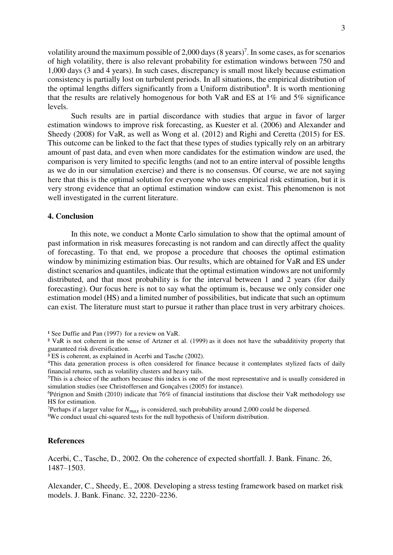volatility around the maximum possible of 2,000 days  $(8 \text{ years})^7$ . In some cases, as for scenarios of high volatility, there is also relevant probability for estimation windows between 750 and 1,000 days (3 and 4 years). In such cases, discrepancy is small most likely because estimation consistency is partially lost on turbulent periods. In all situations, the empirical distribution of the optimal lengths differs significantly from a Uniform distribution<sup>8</sup>. It is worth mentioning that the results are relatively homogenous for both VaR and ES at 1% and 5% significance levels.

Such results are in partial discordance with studies that argue in favor of larger estimation windows to improve risk forecasting, as Kuester et al. (2006) and Alexander and Sheedy (2008) for VaR, as well as Wong et al. (2012) and Righi and Ceretta (2015) for ES. This outcome can be linked to the fact that these types of studies typically rely on an arbitrary amount of past data, and even when more candidates for the estimation window are used, the comparison is very limited to specific lengths (and not to an entire interval of possible lengths as we do in our simulation exercise) and there is no consensus. Of course, we are not saying here that this is the optimal solution for everyone who uses empirical risk estimation, but it is very strong evidence that an optimal estimation window can exist. This phenomenon is not well investigated in the current literature.

### **4. Conclusion**

In this note, we conduct a Monte Carlo simulation to show that the optimal amount of past information in risk measures forecasting is not random and can directly affect the quality of forecasting. To that end, we propose a procedure that chooses the optimal estimation window by minimizing estimation bias. Our results, which are obtained for VaR and ES under distinct scenarios and quantiles, indicate that the optimal estimation windows are not uniformly distributed, and that most probability is for the interval between 1 and 2 years (for daily forecasting). Our focus here is not to say what the optimum is, because we only consider one estimation model (HS) and a limited number of possibilities, but indicate that such an optimum can exist. The literature must start to pursue it rather than place trust in very arbitrary choices.

<sup>7</sup>Perhaps if a larger value for  $N_{max}$  is considered, such probability around 2,000 could be dispersed.

<sup>8</sup>We conduct usual chi-squared tests for the null hypothesis of Uniform distribution.

#### **References**

Acerbi, C., Tasche, D., 2002. On the coherence of expected shortfall. J. Bank. Financ. 26, 1487–1503.

Alexander, C., Sheedy, E., 2008. Developing a stress testing framework based on market risk models. J. Bank. Financ. 32, 2220–2236.

<sup>&</sup>lt;sup>1</sup> See Duffie and Pan (1997) for a review on VaR.

² VaR is not coherent in the sense of Artzner et al. (1999) as it does not have the subadditivity property that guaranteed risk diversification.

³ ES is coherent, as explained in Acerbi and Tasche (2002).

<sup>4</sup>This data generation process is often considered for finance because it contemplates stylized facts of daily financial returns, such as volatility clusters and heavy tails.

<sup>&</sup>lt;sup>5</sup>This is a choice of the authors because this index is one of the most representative and is usually considered in simulation studies (see Christoffersen and Gonçalves (2005) for instance).

<sup>&</sup>lt;sup>6</sup>Pérignon and Smith (2010) indicate that 76% of financial institutions that disclose their VaR methodology use HS for estimation.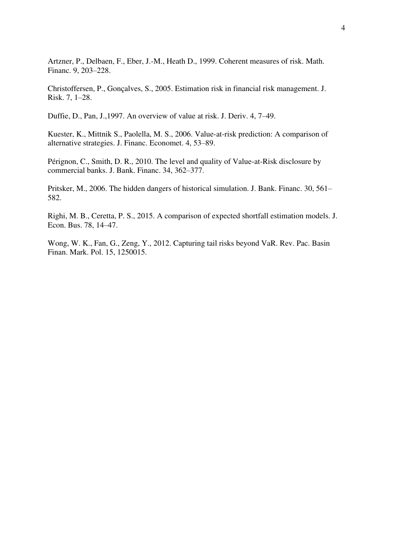Artzner, P., Delbaen, F., Eber, J.-M., Heath D., 1999. Coherent measures of risk. Math. Financ. 9, 203–228.

Christoffersen, P., Gonçalves, S., 2005. Estimation risk in financial risk management. J. Risk. 7, 1–28.

Duffie, D., Pan, J.,1997. An overview of value at risk. J. Deriv. 4, 7–49.

Kuester, K., Mittnik S., Paolella, M. S., 2006. Value-at-risk prediction: A comparison of alternative strategies. J. Financ. Economet. 4, 53–89.

Pérignon, C., Smith, D. R., 2010. The level and quality of Value-at-Risk disclosure by commercial banks. J. Bank. Financ. 34, 362–377.

Pritsker, M., 2006. The hidden dangers of historical simulation. J. Bank. Financ. 30, 561– 582.

Righi, M. B., Ceretta, P. S., 2015. A comparison of expected shortfall estimation models. J. Econ. Bus. 78, 14–47.

Wong, W. K., Fan, G., Zeng, Y., 2012. Capturing tail risks beyond VaR. Rev. Pac. Basin Finan. Mark. Pol. 15, 1250015.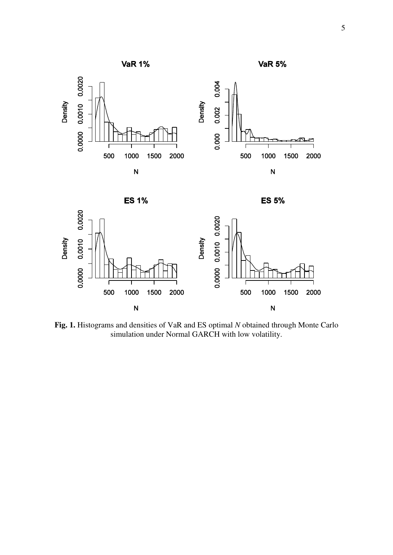



**Fig. 1.** Histograms and densities of VaR and ES optimal *N* obtained through Monte Carlo simulation under Normal GARCH with low volatility.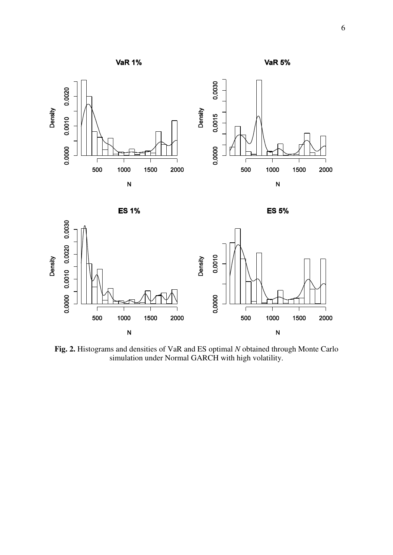

**VaR 5%** 





**Fig. 2.** Histograms and densities of VaR and ES optimal *N* obtained through Monte Carlo simulation under Normal GARCH with high volatility.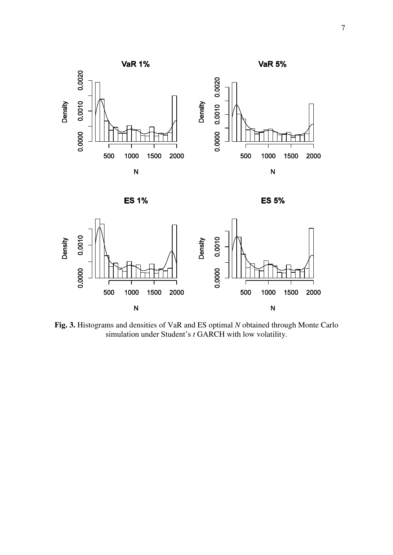







**Fig. 3.** Histograms and densities of VaR and ES optimal *N* obtained through Monte Carlo simulation under Student's *t* GARCH with low volatility.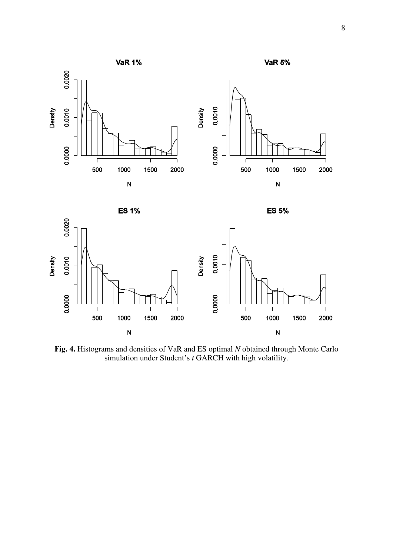

**VaR 5%** 





**ES 5%** 



**Fig. 4.** Histograms and densities of VaR and ES optimal *N* obtained through Monte Carlo simulation under Student's *t* GARCH with high volatility.